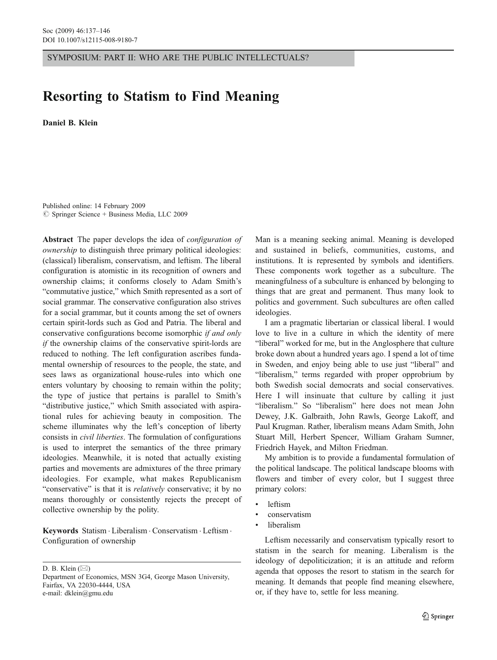SYMPOSIUM: PART II: WHO ARE THE PUBLIC INTELLECTUALS?

# Resorting to Statism to Find Meaning

Daniel B. Klein

Published online: 14 February 2009  $\circledcirc$  Springer Science + Business Media, LLC 2009

Abstract The paper develops the idea of *configuration of* ownership to distinguish three primary political ideologies: (classical) liberalism, conservatism, and leftism. The liberal configuration is atomistic in its recognition of owners and ownership claims; it conforms closely to Adam Smith's "commutative justice," which Smith represented as a sort of social grammar. The conservative configuration also strives for a social grammar, but it counts among the set of owners certain spirit-lords such as God and Patria. The liberal and conservative configurations become isomorphic if and only if the ownership claims of the conservative spirit-lords are reduced to nothing. The left configuration ascribes fundamental ownership of resources to the people, the state, and sees laws as organizational house-rules into which one enters voluntary by choosing to remain within the polity; the type of justice that pertains is parallel to Smith's "distributive justice," which Smith associated with aspirational rules for achieving beauty in composition. The scheme illuminates why the left's conception of liberty consists in civil liberties. The formulation of configurations is used to interpret the semantics of the three primary ideologies. Meanwhile, it is noted that actually existing parties and movements are admixtures of the three primary ideologies. For example, what makes Republicanism "conservative" is that it is *relatively* conservative; it by no means thoroughly or consistently rejects the precept of collective ownership by the polity.

Keywords Statism . Liberalism . Conservatism . Leftism . Configuration of ownership

D. B. Klein (⊠)

Department of Economics, MSN 3G4, George Mason University, Fairfax, VA 22030-4444, USA e-mail: dklein@gmu.edu

Man is a meaning seeking animal. Meaning is developed and sustained in beliefs, communities, customs, and institutions. It is represented by symbols and identifiers. These components work together as a subculture. The meaningfulness of a subculture is enhanced by belonging to things that are great and permanent. Thus many look to politics and government. Such subcultures are often called ideologies.

I am a pragmatic libertarian or classical liberal. I would love to live in a culture in which the identity of mere "liberal" worked for me, but in the Anglosphere that culture broke down about a hundred years ago. I spend a lot of time in Sweden, and enjoy being able to use just "liberal" and "liberalism," terms regarded with proper opprobrium by both Swedish social democrats and social conservatives. Here I will insinuate that culture by calling it just "liberalism." So "liberalism" here does not mean John Dewey, J.K. Galbraith, John Rawls, George Lakoff, and Paul Krugman. Rather, liberalism means Adam Smith, John Stuart Mill, Herbert Spencer, William Graham Sumner, Friedrich Hayek, and Milton Friedman.

My ambition is to provide a fundamental formulation of the political landscape. The political landscape blooms with flowers and timber of every color, but I suggest three primary colors:

- leftism
- conservatism
- liberalism

Leftism necessarily and conservatism typically resort to statism in the search for meaning. Liberalism is the ideology of depoliticization; it is an attitude and reform agenda that opposes the resort to statism in the search for meaning. It demands that people find meaning elsewhere, or, if they have to, settle for less meaning.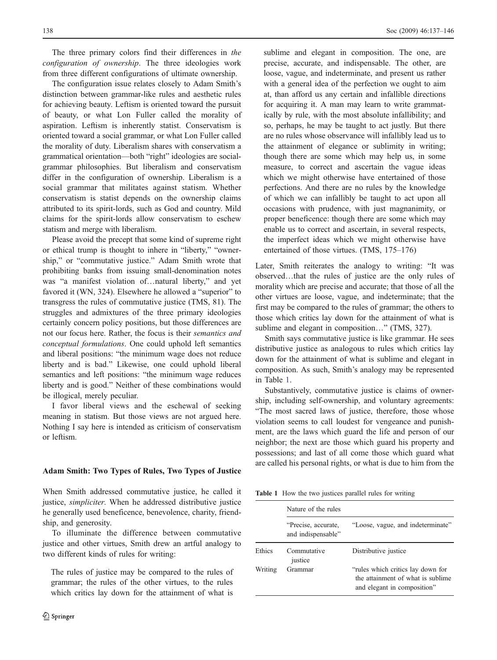The three primary colors find their differences in the configuration of ownership. The three ideologies work from three different configurations of ultimate ownership.

The configuration issue relates closely to Adam Smith's distinction between grammar-like rules and aesthetic rules for achieving beauty. Leftism is oriented toward the pursuit of beauty, or what Lon Fuller called the morality of aspiration. Leftism is inherently statist. Conservatism is oriented toward a social grammar, or what Lon Fuller called the morality of duty. Liberalism shares with conservatism a grammatical orientation—both "right" ideologies are socialgrammar philosophies. But liberalism and conservatism differ in the configuration of ownership. Liberalism is a social grammar that militates against statism. Whether conservatism is statist depends on the ownership claims attributed to its spirit-lords, such as God and country. Mild claims for the spirit-lords allow conservatism to eschew statism and merge with liberalism.

Please avoid the precept that some kind of supreme right or ethical trump is thought to inhere in "liberty," "ownership," or "commutative justice." Adam Smith wrote that prohibiting banks from issuing small-denomination notes was "a manifest violation of…natural liberty," and yet favored it (WN, 324). Elsewhere he allowed a "superior" to transgress the rules of commutative justice (TMS, 81). The struggles and admixtures of the three primary ideologies certainly concern policy positions, but those differences are not our focus here. Rather, the focus is their semantics and conceptual formulations. One could uphold left semantics and liberal positions: "the minimum wage does not reduce liberty and is bad." Likewise, one could uphold liberal semantics and left positions: "the minimum wage reduces liberty and is good." Neither of these combinations would be illogical, merely peculiar.

I favor liberal views and the eschewal of seeking meaning in statism. But those views are not argued here. Nothing I say here is intended as criticism of conservatism or leftism.

#### Adam Smith: Two Types of Rules, Two Types of Justice

When Smith addressed commutative justice, he called it justice, *simpliciter*. When he addressed distributive justice he generally used beneficence, benevolence, charity, friendship, and generosity.

To illuminate the difference between commutative justice and other virtues, Smith drew an artful analogy to two different kinds of rules for writing:

The rules of justice may be compared to the rules of grammar; the rules of the other virtues, to the rules which critics lay down for the attainment of what is

sublime and elegant in composition. The one, are precise, accurate, and indispensable. The other, are loose, vague, and indeterminate, and present us rather with a general idea of the perfection we ought to aim at, than afford us any certain and infallible directions for acquiring it. A man may learn to write grammatically by rule, with the most absolute infallibility; and so, perhaps, he may be taught to act justly. But there are no rules whose observance will infallibly lead us to the attainment of elegance or sublimity in writing; though there are some which may help us, in some measure, to correct and ascertain the vague ideas which we might otherwise have entertained of those perfections. And there are no rules by the knowledge of which we can infallibly be taught to act upon all occasions with prudence, with just magnanimity, or proper beneficence: though there are some which may enable us to correct and ascertain, in several respects, the imperfect ideas which we might otherwise have entertained of those virtues. (TMS, 175–176)

Later, Smith reiterates the analogy to writing: "It was observed…that the rules of justice are the only rules of morality which are precise and accurate; that those of all the other virtues are loose, vague, and indeterminate; that the first may be compared to the rules of grammar; the others to those which critics lay down for the attainment of what is sublime and elegant in composition…" (TMS, 327).

Smith says commutative justice is like grammar. He sees distributive justice as analogous to rules which critics lay down for the attainment of what is sublime and elegant in composition. As such, Smith's analogy may be represented in Table 1.

Substantively, commutative justice is claims of ownership, including self-ownership, and voluntary agreements: "The most sacred laws of justice, therefore, those whose violation seems to call loudest for vengeance and punishment, are the laws which guard the life and person of our neighbor; the next are those which guard his property and possessions; and last of all come those which guard what are called his personal rights, or what is due to him from the

Table 1 How the two justices parallel rules for writing

|         | Nature of the rules                       |                                                                                                       |
|---------|-------------------------------------------|-------------------------------------------------------------------------------------------------------|
|         | "Precise, accurate,<br>and indispensable" | "Loose, vague, and indeterminate"                                                                     |
| Ethics  | Commutative<br>justice                    | Distributive justice                                                                                  |
| Writing | Grammar                                   | "rules which critics lay down for<br>the attainment of what is sublime<br>and elegant in composition" |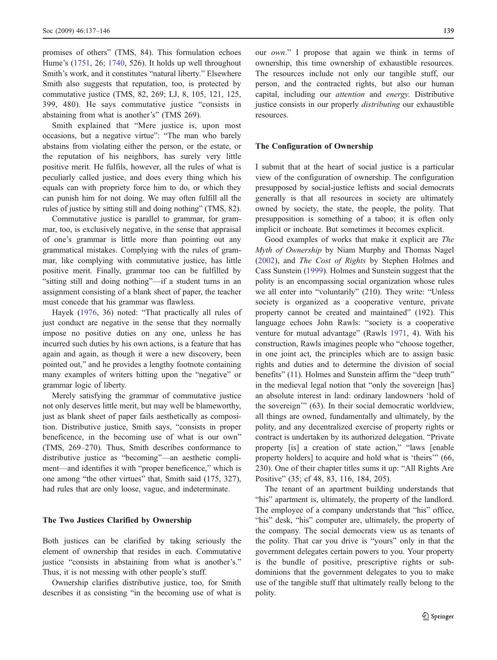promises of others" (TMS, 84). This formulation echoes Hume's [\(1751](#page-8-0), 26; [1740](#page-8-0), 526). It holds up well throughout Smith's work, and it constitutes "natural liberty." Elsewhere Smith also suggests that reputation, too, is protected by commutative justice (TMS, 82, 269; LJ, 8, 105, 121, 125, 399, 480). He says commutative justice "consists in abstaining from what is another's" (TMS 269).

Smith explained that "Mere justice is, upon most occasions, but a negative virtue": "The man who barely abstains from violating either the person, or the estate, or the reputation of his neighbors, has surely very little positive merit. He fulfils, however, all the rules of what is peculiarly called justice, and does every thing which his equals can with propriety force him to do, or which they can punish him for not doing. We may often fulfill all the rules of justice by sitting still and doing nothing" (TMS, 82).

Commutative justice is parallel to grammar, for grammar, too, is exclusively negative, in the sense that appraisal of one's grammar is little more than pointing out any grammatical mistakes. Complying with the rules of grammar, like complying with commutative justice, has little positive merit. Finally, grammar too can be fulfilled by "sitting still and doing nothing"—if a student turns in an assignment consisting of a blank sheet of paper, the teacher must concede that his grammar was flawless.

Hayek [\(1976](#page-8-0), 36) noted: "That practically all rules of just conduct are negative in the sense that they normally impose no positive duties on any one, unless he has incurred such duties by his own actions, is a feature that has again and again, as though it were a new discovery, been pointed out," and he provides a lengthy footnote containing many examples of writers hitting upon the "negative" or grammar logic of liberty.

Merely satisfying the grammar of commutative justice not only deserves little merit, but may well be blameworthy, just as blank sheet of paper fails aesthetically as composition. Distributive justice, Smith says, "consists in proper beneficence, in the becoming use of what is our own" (TMS, 269–270). Thus, Smith describes conformance to distributive justice as "becoming"—an aesthetic compliment—and identifies it with "proper beneficence," which is one among "the other virtues" that, Smith said (175, 327), had rules that are only loose, vague, and indeterminate.

## The Two Justices Clarified by Ownership

Both justices can be clarified by taking seriously the element of ownership that resides in each. Commutative justice "consists in abstaining from what is another's." Thus, it is not messing with other people's stuff.

Ownership clarifies distributive justice, too, for Smith describes it as consisting "in the becoming use of what is our own." I propose that again we think in terms of ownership, this time ownership of exhaustible resources. The resources include not only our tangible stuff, our person, and the contracted rights, but also our human capital, including our attention and energy. Distributive justice consists in our properly *distributing* our exhaustible resources.

### The Configuration of Ownership

I submit that at the heart of social justice is a particular view of the configuration of ownership. The configuration presupposed by social-justice leftists and social democrats generally is that all resources in society are ultimately owned by society, the state, the people, the polity. That presupposition is something of a taboo; it is often only implicit or inchoate. But sometimes it becomes explicit.

Good examples of works that make it explicit are The Myth of Ownership by Niam Murphy and Thomas Nagel [\(2002](#page-9-0)), and The Cost of Rights by Stephen Holmes and Cass Sunstein [\(1999](#page-8-0)). Holmes and Sunstein suggest that the polity is an encompassing social organization whose rules we all enter into "voluntarily" (210). They write: "Unless society is organized as a cooperative venture, private property cannot be created and maintained" (192). This language echoes John Rawls: "society is a cooperative venture for mutual advantage" (Rawls [1971,](#page-9-0) 4). With his construction, Rawls imagines people who "choose together, in one joint act, the principles which are to assign basic rights and duties and to determine the division of social benefits" (11). Holmes and Sunstein affirm the "deep truth" in the medieval legal notion that "only the sovereign [has] an absolute interest in land: ordinary landowners 'hold of the sovereign'" (63). In their social democratic worldview, all things are owned, fundamentally and ultimately, by the polity, and any decentralized exercise of property rights or contract is undertaken by its authorized delegation. "Private property [is] a creation of state action," "laws [enable property holders] to acquire and hold what is 'theirs'" (66, 230). One of their chapter titles sums it up: "All Rights Are Positive" (35; cf 48, 83, 116, 184, 205).

The tenant of an apartment building understands that "his" apartment is, ultimately, the property of the landlord. The employee of a company understands that "his" office, "his" desk, "his" computer are, ultimately, the property of the company. The social democrats view us as tenants of the polity. That car you drive is "yours" only in that the government delegates certain powers to you. Your property is the bundle of positive, prescriptive rights or subdominions that the government delegates to you to make use of the tangible stuff that ultimately really belong to the polity.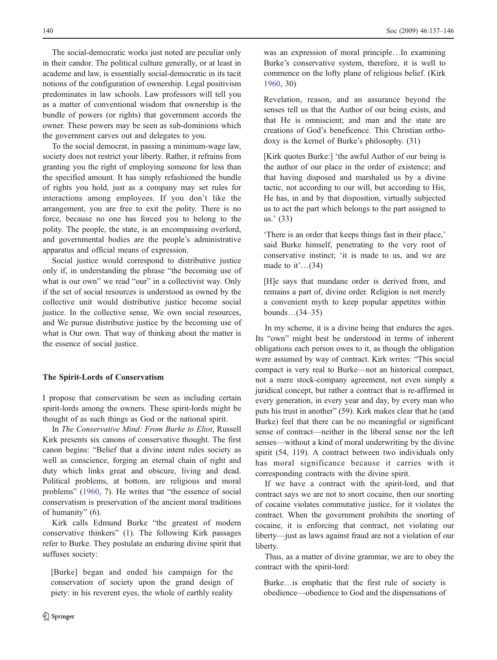The social-democratic works just noted are peculiar only in their candor. The political culture generally, or at least in academe and law, is essentially social-democratic in its tacit notions of the configuration of ownership. Legal positivism predominates in law schools. Law professors will tell you as a matter of conventional wisdom that ownership is the bundle of powers (or rights) that government accords the owner. These powers may be seen as sub-dominions which the government carves out and delegates to you.

To the social democrat, in passing a minimum-wage law, society does not restrict your liberty. Rather, it refrains from granting you the right of employing someone for less than the specified amount. It has simply refashioned the bundle of rights you hold, just as a company may set rules for interactions among employees. If you don't like the arrangement, you are free to exit the polity. There is no force, because no one has forced you to belong to the polity. The people, the state, is an encompassing overlord, and governmental bodies are the people's administrative apparatus and official means of expression.

Social justice would correspond to distributive justice only if, in understanding the phrase "the becoming use of what is our own" we read "our" in a collectivist way. Only if the set of social resources is understood as owned by the collective unit would distributive justice become social justice. In the collective sense, We own social resources, and We pursue distributive justice by the becoming use of what is Our own. That way of thinking about the matter is the essence of social justice.

#### The Spirit-Lords of Conservatism

I propose that conservatism be seen as including certain spirit-lords among the owners. These spirit-lords might be thought of as such things as God or the national spirit.

In The Conservative Mind: From Burke to Eliot, Russell Kirk presents six canons of conservative thought. The first canon begins: "Belief that a divine intent rules society as well as conscience, forging an eternal chain of right and duty which links great and obscure, living and dead. Political problems, at bottom, are religious and moral problems" [\(1960](#page-8-0), 7). He writes that "the essence of social conservatism is preservation of the ancient moral traditions of humanity" (6).

Kirk calls Edmund Burke "the greatest of modern conservative thinkers" (1). The following Kirk passages refer to Burke. They postulate an enduring divine spirit that suffuses society:

[Burke] began and ended his campaign for the conservation of society upon the grand design of piety: in his reverent eyes, the whole of earthly reality

was an expression of moral principle...In examining Burke's conservative system, therefore, it is well to commence on the lofty plane of religious belief. (Kirk [1960](#page-8-0), 30)

Revelation, reason, and an assurance beyond the senses tell us that the Author of our being exists, and that He is omniscient; and man and the state are creations of God's beneficence. This Christian orthodoxy is the kernel of Burke's philosophy. (31)

[Kirk quotes Burke:] 'the awful Author of our being is the author of our place in the order of existence; and that having disposed and marshaled us by a divine tactic, not according to our will, but according to His, He has, in and by that disposition, virtually subjected us to act the part which belongs to the part assigned to us.' (33)

'There is an order that keeps things fast in their place,' said Burke himself, penetrating to the very root of conservative instinct; 'it is made to us, and we are made to it'... $(34)$ 

[H]e says that mundane order is derived from, and remains a part of, divine order. Religion is not merely a convenient myth to keep popular appetites within bounds…(34–35)

In my scheme, it is a divine being that endures the ages. Its "own" might best be understood in terms of inherent obligations each person owes to it, as though the obligation were assumed by way of contract. Kirk writes: "This social compact is very real to Burke—not an historical compact, not a mere stock-company agreement, not even simply a juridical concept, but rather a contract that is re-affirmed in every generation, in every year and day, by every man who puts his trust in another" (59). Kirk makes clear that he (and Burke) feel that there can be no meaningful or significant sense of contract—neither in the liberal sense nor the left senses—without a kind of moral underwriting by the divine spirit (54, 119). A contract between two individuals only has moral significance because it carries with it corresponding contracts with the divine spirit.

If we have a contract with the spirit-lord, and that contract says we are not to snort cocaine, then our snorting of cocaine violates commutative justice, for it violates the contract. When the government prohibits the snorting of cocaine, it is enforcing that contract, not violating our liberty—just as laws against fraud are not a violation of our liberty.

Thus, as a matter of divine grammar, we are to obey the contract with the spirit-lord:

Burke…is emphatic that the first rule of society is obedience—obedience to God and the dispensations of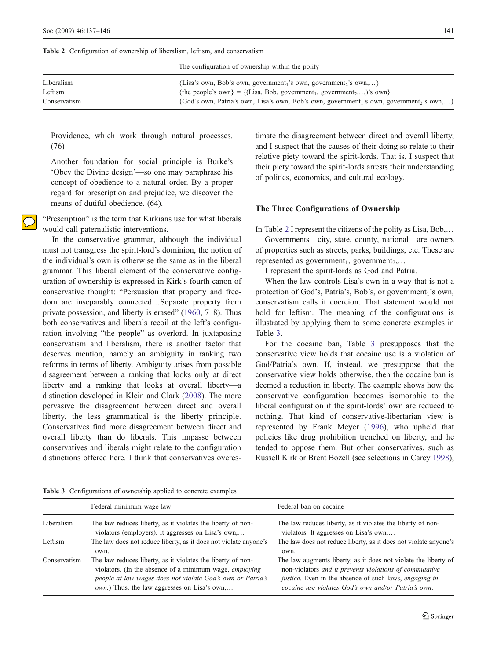<span id="page-4-0"></span>

|              | The configuration of ownership within the polity                                                                  |
|--------------|-------------------------------------------------------------------------------------------------------------------|
| Liberalism   | {Lisa's own, Bob's own, government <sub>1</sub> 's own, government <sub>2</sub> 's own,}                          |
| Leftism      | {the people's own} = {(Lisa, Bob, government <sub>1</sub> , government <sub>2</sub> ,)'s own}                     |
| Conservatism | {God's own, Patria's own, Lisa's own, Bob's own, government <sub>1</sub> 's own, government <sub>2</sub> 's own,} |

Providence, which work through natural processes. (76)

Another foundation for social principle is Burke's 'Obey the Divine design'—so one may paraphrase his concept of obedience to a natural order. By a proper regard for prescription and prejudice, we discover the means of dutiful obedience. (64).

"Prescription" is the term that Kirkians use for what liberals would call paternalistic interventions.

In the conservative grammar, although the individual must not transgress the spirit-lord's dominion, the notion of the individual's own is otherwise the same as in the liberal grammar. This liberal element of the conservative configuration of ownership is expressed in Kirk's fourth canon of conservative thought: "Persuasion that property and freedom are inseparably connected…Separate property from private possession, and liberty is erased" [\(1960](#page-8-0), 7–8). Thus both conservatives and liberals recoil at the left's configuration involving "the people" as overlord. In juxtaposing conservatism and liberalism, there is another factor that deserves mention, namely an ambiguity in ranking two reforms in terms of liberty. Ambiguity arises from possible disagreement between a ranking that looks only at direct liberty and a ranking that looks at overall liberty—a distinction developed in Klein and Clark ([2008](#page-9-0)). The more pervasive the disagreement between direct and overall liberty, the less grammatical is the liberty principle. Conservatives find more disagreement between direct and overall liberty than do liberals. This impasse between conservatives and liberals might relate to the configuration distinctions offered here. I think that conservatives overestimate the disagreement between direct and overall liberty, and I suspect that the causes of their doing so relate to their relative piety toward the spirit-lords. That is, I suspect that their piety toward the spirit-lords arrests their understanding of politics, economics, and cultural ecology.

## The Three Configurations of Ownership

In Table 2 I represent the citizens of the polity as Lisa, Bob,…

Governments—city, state, county, national—are owners of properties such as streets, parks, buildings, etc. These are represented as government<sub>1</sub>, government<sub>2</sub>,...

I represent the spirit-lords as God and Patria.

When the law controls Lisa's own in a way that is not a protection of God's, Patria's, Bob's, or government $<sub>1</sub>$ 's own,</sub> conservatism calls it coercion. That statement would not hold for leftism. The meaning of the configurations is illustrated by applying them to some concrete examples in Table 3.

For the cocaine ban, Table 3 presupposes that the conservative view holds that cocaine use is a violation of God/Patria's own. If, instead, we presuppose that the conservative view holds otherwise, then the cocaine ban is deemed a reduction in liberty. The example shows how the conservative configuration becomes isomorphic to the liberal configuration if the spirit-lords' own are reduced to nothing. That kind of conservative-libertarian view is represented by Frank Meyer ([1996](#page-9-0)), who upheld that policies like drug prohibition trenched on liberty, and he tended to oppose them. But other conservatives, such as Russell Kirk or Brent Bozell (see selections in Carey [1998\)](#page-8-0),

|              | Federal minimum wage law                                                                                                                                                                                                                            | Federal ban on cocaine                                                                                                                                                                                                                                     |
|--------------|-----------------------------------------------------------------------------------------------------------------------------------------------------------------------------------------------------------------------------------------------------|------------------------------------------------------------------------------------------------------------------------------------------------------------------------------------------------------------------------------------------------------------|
| Liberalism   | The law reduces liberty, as it violates the liberty of non-<br>violators (employers). It aggresses on Lisa's own,                                                                                                                                   | The law reduces liberty, as it violates the liberty of non-<br>violators. It aggresses on Lisa's own,                                                                                                                                                      |
| Leftism      | The law does not reduce liberty, as it does not violate anyone's<br>own.                                                                                                                                                                            | The law does not reduce liberty, as it does not violate anyone's<br>own.                                                                                                                                                                                   |
| Conservatism | The law reduces liberty, as it violates the liberty of non-<br>violators. (In the absence of a minimum wage, <i>employing</i><br>people at low wages does not violate God's own or Patria's<br><i>own.</i> ) Thus, the law aggresses on Lisa's own, | The law augments liberty, as it does not violate the liberty of<br>non-violators and it prevents violations of commutative<br><i>justice</i> . Even in the absence of such laws, <i>engaging in</i><br>cocaine use violates God's own and/or Patria's own. |

Table 3 Configurations of ownership applied to concrete examples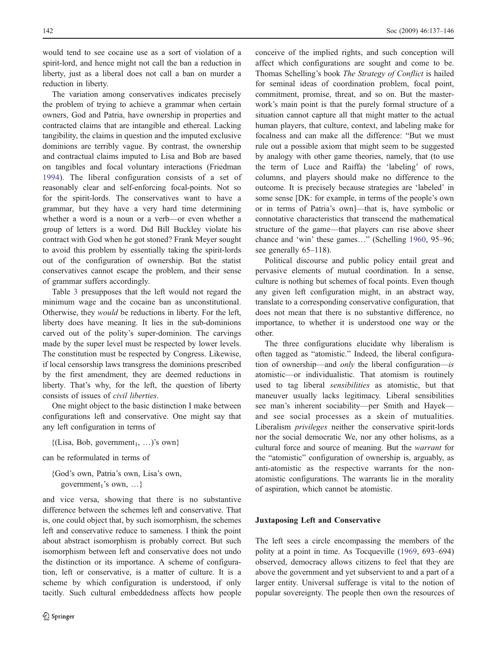would tend to see cocaine use as a sort of violation of a spirit-lord, and hence might not call the ban a reduction in liberty, just as a liberal does not call a ban on murder a reduction in liberty.

The variation among conservatives indicates precisely the problem of trying to achieve a grammar when certain owners, God and Patria, have ownership in properties and contracted claims that are intangible and ethereal. Lacking tangibility, the claims in question and the imputed exclusive dominions are terribly vague. By contrast, the ownership and contractual claims imputed to Lisa and Bob are based on tangibles and focal voluntary interactions (Friedman [1994](#page-8-0)). The liberal configuration consists of a set of reasonably clear and self-enforcing focal-points. Not so for the spirit-lords. The conservatives want to have a grammar, but they have a very hard time determining whether a word is a noun or a verb—or even whether a group of letters is a word. Did Bill Buckley violate his contract with God when he got stoned? Frank Meyer sought to avoid this problem by essentially taking the spirit-lords out of the configuration of ownership. But the statist conservatives cannot escape the problem, and their sense of grammar suffers accordingly.

Table [3](#page-4-0) presupposes that the left would not regard the minimum wage and the cocaine ban as unconstitutional. Otherwise, they would be reductions in liberty. For the left, liberty does have meaning. It lies in the sub-dominions carved out of the polity's super-dominion. The carvings made by the super level must be respected by lower levels. The constitution must be respected by Congress. Likewise, if local censorship laws transgress the dominions prescribed by the first amendment, they are deemed reductions in liberty. That's why, for the left, the question of liberty consists of issues of civil liberties.

One might object to the basic distinction I make between configurations left and conservative. One might say that any left configuration in terms of

 $\{(\text{Lisa}, \text{Bob}, \text{government}_1, \ldots) \text{'s own}\}$ 

can be reformulated in terms of

{God's own, Patria's own, Lisa's own, government<sub>1</sub>'s own, ...}

and vice versa, showing that there is no substantive difference between the schemes left and conservative. That is, one could object that, by such isomorphism, the schemes left and conservative reduce to sameness. I think the point about abstract isomorphism is probably correct. But such isomorphism between left and conservative does not undo the distinction or its importance. A scheme of configuration, left or conservative, is a matter of culture. It is a scheme by which configuration is understood, if only tacitly. Such cultural embeddedness affects how people conceive of the implied rights, and such conception will affect which configurations are sought and come to be. Thomas Schelling's book The Strategy of Conflict is hailed for seminal ideas of coordination problem, focal point, commitment, promise, threat, and so on. But the masterwork's main point is that the purely formal structure of a situation cannot capture all that might matter to the actual human players, that culture, context, and labeling make for focalness and can make all the difference: "But we must rule out a possible axiom that might seem to be suggested by analogy with other game theories, namely, that (to use the term of Luce and Raiffa) the 'labeling' of rows, columns, and players should make no difference to the outcome. It is precisely because strategies are 'labeled' in some sense [DK: for example, in terms of the people's own or in terms of Patria's own]—that is, have symbolic or connotative characteristics that transcend the mathematical structure of the game—that players can rise above sheer chance and 'win' these games…" (Schelling [1960,](#page-9-0) 95–96; see generally 65–118).

Political discourse and public policy entail great and pervasive elements of mutual coordination. In a sense, culture is nothing but schemes of focal points. Even though any given left configuration might, in an abstract way, translate to a corresponding conservative configuration, that does not mean that there is no substantive difference, no importance, to whether it is understood one way or the other.

The three configurations elucidate why liberalism is often tagged as "atomistic." Indeed, the liberal configuration of ownership—and *only* the liberal configuration—is atomistic—or individualistic. That atomism is routinely used to tag liberal sensibilities as atomistic, but that maneuver usually lacks legitimacy. Liberal sensibilities see man's inherent sociability—per Smith and Hayek and see social processes as a skein of mutualities. Liberalism privileges neither the conservative spirit-lords nor the social democratic We, nor any other holisms, as a cultural force and source of meaning. But the warrant for the "atomistic" configuration of ownership is, arguably, as anti-atomistic as the respective warrants for the nonatomistic configurations. The warrants lie in the morality of aspiration, which cannot be atomistic.

#### Juxtaposing Left and Conservative

The left sees a circle encompassing the members of the polity at a point in time. As Tocqueville ([1969,](#page-9-0) 693–694) observed, democracy allows citizens to feel that they are above the government and yet subservient to and a part of a larger entity. Universal sufferage is vital to the notion of popular sovereignty. The people then own the resources of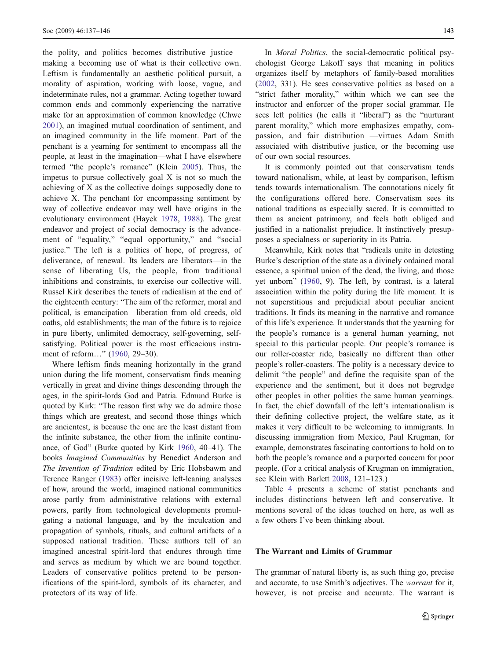the polity, and politics becomes distributive justice making a becoming use of what is their collective own. Leftism is fundamentally an aesthetic political pursuit, a morality of aspiration, working with loose, vague, and indeterminate rules, not a grammar. Acting together toward common ends and commonly experiencing the narrative make for an approximation of common knowledge (Chwe [2001](#page-8-0)), an imagined mutual coordination of sentiment, and an imagined community in the life moment. Part of the penchant is a yearning for sentiment to encompass all the people, at least in the imagination—what I have elsewhere termed "the people's romance" (Klein [2005](#page-8-0)). Thus, the impetus to pursue collectively goal X is not so much the achieving of X as the collective doings supposedly done to achieve X. The penchant for encompassing sentiment by way of collective endeavor may well have origins in the evolutionary environment (Hayek [1978](#page-8-0), [1988\)](#page-8-0). The great endeavor and project of social democracy is the advancement of "equality," "equal opportunity," and "social justice." The left is a politics of hope, of progress, of deliverance, of renewal. Its leaders are liberators—in the sense of liberating Us, the people, from traditional inhibitions and constraints, to exercise our collective will. Russel Kirk describes the tenets of radicalism at the end of the eighteenth century: "The aim of the reformer, moral and political, is emancipation—liberation from old creeds, old oaths, old establishments; the man of the future is to rejoice in pure liberty, unlimited democracy, self-governing, selfsatisfying. Political power is the most efficacious instrument of reform…" [\(1960](#page-8-0), 29–30).

Where leftism finds meaning horizontally in the grand union during the life moment, conservatism finds meaning vertically in great and divine things descending through the ages, in the spirit-lords God and Patria. Edmund Burke is quoted by Kirk: "The reason first why we do admire those things which are greatest, and second those things which are ancientest, is because the one are the least distant from the infinite substance, the other from the infinite continuance, of God" (Burke quoted by Kirk [1960](#page-8-0), 40–41). The books Imagined Communities by Benedict Anderson and The Invention of Tradition edited by Eric Hobsbawm and Terence Ranger ([1983\)](#page-8-0) offer incisive left-leaning analyses of how, around the world, imagined national communities arose partly from administrative relations with external powers, partly from technological developments promulgating a national language, and by the inculcation and propagation of symbols, rituals, and cultural artifacts of a supposed national tradition. These authors tell of an imagined ancestral spirit-lord that endures through time and serves as medium by which we are bound together. Leaders of conservative politics pretend to be personifications of the spirit-lord, symbols of its character, and protectors of its way of life.

In *Moral Politics*, the social-democratic political psychologist George Lakoff says that meaning in politics organizes itself by metaphors of family-based moralities [\(2002](#page-9-0), 331). He sees conservative politics as based on a "strict father morality," within which we can see the instructor and enforcer of the proper social grammar. He sees left politics (he calls it "liberal") as the "nurturant parent morality," which more emphasizes empathy, compassion, and fair distribution —virtues Adam Smith associated with distributive justice, or the becoming use of our own social resources.

It is commonly pointed out that conservatism tends toward nationalism, while, at least by comparison, leftism tends towards internationalism. The connotations nicely fit the configurations offered here. Conservatism sees its national traditions as especially sacred. It is committed to them as ancient patrimony, and feels both obliged and justified in a nationalist prejudice. It instinctively presupposes a specialness or superiority in its Patria.

Meanwhile, Kirk notes that "radicals unite in detesting Burke's description of the state as a divinely ordained moral essence, a spiritual union of the dead, the living, and those yet unborn" [\(1960](#page-8-0), 9). The left, by contrast, is a lateral association within the polity during the life moment. It is not superstitious and prejudicial about peculiar ancient traditions. It finds its meaning in the narrative and romance of this life's experience. It understands that the yearning for the people's romance is a general human yearning, not special to this particular people. Our people's romance is our roller-coaster ride, basically no different than other people's roller-coasters. The polity is a necessary device to delimit "the people" and define the requisite span of the experience and the sentiment, but it does not begrudge other peoples in other polities the same human yearnings. In fact, the chief downfall of the left's internationalism is their defining collective project, the welfare state, as it makes it very difficult to be welcoming to immigrants. In discussing immigration from Mexico, Paul Krugman, for example, demonstrates fascinating contortions to hold on to both the people's romance and a purported concern for poor people. (For a critical analysis of Krugman on immigration, see Klein with Barlett [2008](#page-8-0), 121–123.)

Table [4](#page-7-0) presents a scheme of statist penchants and includes distinctions between left and conservative. It mentions several of the ideas touched on here, as well as a few others I've been thinking about.

## The Warrant and Limits of Grammar

The grammar of natural liberty is, as such thing go, precise and accurate, to use Smith's adjectives. The warrant for it, however, is not precise and accurate. The warrant is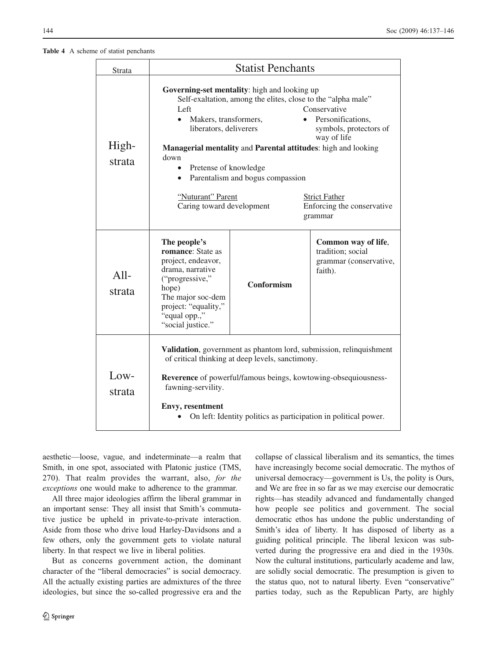<span id="page-7-0"></span>

| Strata            | <b>Statist Penchants</b>                                                                                                                                                                                                                                                                                     |            |                                                                               |  |
|-------------------|--------------------------------------------------------------------------------------------------------------------------------------------------------------------------------------------------------------------------------------------------------------------------------------------------------------|------------|-------------------------------------------------------------------------------|--|
| High-             | Governing-set mentality: high and looking up<br>Self-exaltation, among the elites, close to the "alpha male"<br>Left<br>Makers, transformers,<br>liberators, deliverers<br>Managerial mentality and Parental attitudes: high and looking                                                                     |            | Conservative<br>Personifications,<br>symbols, protectors of<br>way of life    |  |
| strata            | down<br>Pretense of knowledge<br>$\bullet$<br>Parentalism and bogus compassion<br>$\bullet$<br>"Nuturant" Parent<br>Caring toward development                                                                                                                                                                |            | <b>Strict Father</b><br>Enforcing the conservative<br>grammar                 |  |
| $A$ ll-<br>strata | The people's<br>romance: State as<br>project, endeavor,<br>drama, narrative<br>("progressive,"<br>hope)<br>The major soc-dem<br>project: "equality,"<br>"equal opp.,"<br>"social justice."                                                                                                                   | Conformism | Common way of life,<br>tradition; social<br>grammar (conservative,<br>faith). |  |
| Low-<br>strata    | Validation, government as phantom lord, submission, relinquishment<br>of critical thinking at deep levels, sanctimony.<br><b>Reverence</b> of powerful/famous beings, kowtowing-obsequiousness-<br>fawning-servility.<br>Envy, resentment<br>On left: Identity politics as participation in political power. |            |                                                                               |  |

aesthetic—loose, vague, and indeterminate—a realm that Smith, in one spot, associated with Platonic justice (TMS, 270). That realm provides the warrant, also, for the exceptions one would make to adherence to the grammar.

All three major ideologies affirm the liberal grammar in an important sense: They all insist that Smith's commutative justice be upheld in private-to-private interaction. Aside from those who drive loud Harley-Davidsons and a few others, only the government gets to violate natural liberty. In that respect we live in liberal polities.

But as concerns government action, the dominant character of the "liberal democracies" is social democracy. All the actually existing parties are admixtures of the three ideologies, but since the so-called progressive era and the collapse of classical liberalism and its semantics, the times have increasingly become social democratic. The mythos of universal democracy—government is Us, the polity is Ours, and We are free in so far as we may exercise our democratic rights—has steadily advanced and fundamentally changed how people see politics and government. The social democratic ethos has undone the public understanding of Smith's idea of liberty. It has disposed of liberty as a guiding political principle. The liberal lexicon was subverted during the progressive era and died in the 1930s. Now the cultural institutions, particularly academe and law, are solidly social democratic. The presumption is given to the status quo, not to natural liberty. Even "conservative" parties today, such as the Republican Party, are highly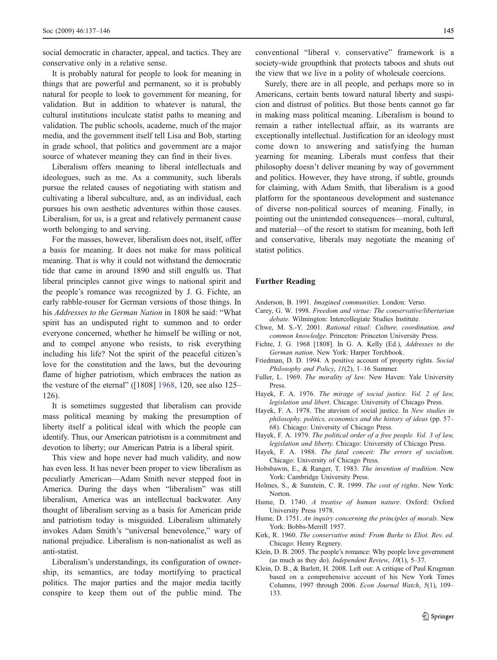<span id="page-8-0"></span>social democratic in character, appeal, and tactics. They are conservative only in a relative sense.

It is probably natural for people to look for meaning in things that are powerful and permanent, so it is probably natural for people to look to government for meaning, for validation. But in addition to whatever is natural, the cultural institutions inculcate statist paths to meaning and validation. The public schools, academe, much of the major media, and the government itself tell Lisa and Bob, starting in grade school, that politics and government are a major source of whatever meaning they can find in their lives.

Liberalism offers meaning to liberal intellectuals and ideologues, such as me. As a community, such liberals pursue the related causes of negotiating with statism and cultivating a liberal subculture, and, as an individual, each pursues his own aesthetic adventures within those causes. Liberalism, for us, is a great and relatively permanent cause worth belonging to and serving.

For the masses, however, liberalism does not, itself, offer a basis for meaning. It does not make for mass political meaning. That is why it could not withstand the democratic tide that came in around 1890 and still engulfs us. That liberal principles cannot give wings to national spirit and the people's romance was recognized by J. G. Fichte, an early rabble-rouser for German versions of those things. In his Addresses to the German Nation in 1808 he said: "What spirit has an undisputed right to summon and to order everyone concerned, whether he himself be willing or not, and to compel anyone who resists, to risk everything including his life? Not the spirit of the peaceful citizen's love for the constitution and the laws, but the devouring flame of higher patriotism, which embraces the nation as the vesture of the eternal" ([1808] 1968, 120, see also 125– 126).

It is sometimes suggested that liberalism can provide mass political meaning by making the presumption of liberty itself a political ideal with which the people can identify. Thus, our American patriotism is a commitment and devotion to liberty; our American Patria is a liberal spirit.

This view and hope never had much validity, and now has even less. It has never been proper to view liberalism as peculiarly American—Adam Smith never stepped foot in America. During the days when "liberalism" was still liberalism, America was an intellectual backwater. Any thought of liberalism serving as a basis for American pride and patriotism today is misguided. Liberalism ultimately invokes Adam Smith's "universal benevolence," wary of national prejudice. Liberalism is non-nationalist as well as anti-statist.

Liberalism's understandings, its configuration of ownership, its semantics, are today mortifying to practical politics. The major parties and the major media tacitly conspire to keep them out of the public mind. The conventional "liberal v. conservative" framework is a society-wide groupthink that protects taboos and shuts out the view that we live in a polity of wholesale coercions.

Surely, there are in all people, and perhaps more so in Americans, certain bents toward natural liberty and suspicion and distrust of politics. But those bents cannot go far in making mass political meaning. Liberalism is bound to remain a rather intellectual affair, as its warrants are exceptionally intellectual. Justification for an ideology must come down to answering and satisfying the human yearning for meaning. Liberals must confess that their philosophy doesn't deliver meaning by way of government and politics. However, they have strong, if subtle, grounds for claiming, with Adam Smith, that liberalism is a good platform for the spontaneous development and sustenance of diverse non-political sources of meaning. Finally, in pointing out the unintended consequences—moral, cultural, and material—of the resort to statism for meaning, both left and conservative, liberals may negotiate the meaning of statist politics.

# Further Reading

- Anderson, B. 1991. Imagined communities. London: Verso.
- Carey, G. W. 1998. Freedom and virtue: The conservative/libertarian debate. Wilmington: Intercollegiate Studies Institute.
- Chwe, M. S.-Y. 2001. Rational ritual: Culture, coordination, and common knowledge. Princeton: Princeton University Press.
- Fichte, J. G. 1968 [1808]. In G. A. Kelly (Ed.), Addresses to the German nation. New York: Harper Torchbook.
- Friedman, D. D. 1994. A positive account of property rights. Social Philosophy and Policy, 11(2), 1-16 Summer.
- Fuller, L. 1969. The morality of law. New Haven: Yale University Press.
- Hayek, F. A. 1976. The mirage of social justice. Vol. 2 of law, legislation and libert. Chicago: University of Chicago Press.
- Hayek, F. A. 1978. The atavism of social justice. In New studies in philosophy, politics, economics and the history of ideas (pp. 57– 68). Chicago: University of Chicago Press.
- Hayek, F. A. 1979. The political order of a free people. Vol. 3 of law, legislation and liberty. Chicago: University of Chicago Press.
- Hayek, F. A. 1988. The fatal conceit: The errors of socialism. Chicago: University of Chicago Press.
- Hobsbawm, E., & Ranger, T. 1983. The invention of tradition. New York: Cambridge University Press.
- Holmes, S., & Sunstein, C. R. 1999. The cost of rights. New York: Norton.
- Hume, D. 1740. A treatise of human nature. Oxford: Oxford University Press 1978.
- Hume, D. 1751. An inquiry concerning the principles of morals. New York: Bobbs-Merrill 1957.
- Kirk, R. 1960. The conservative mind: From Burke to Eliot. Rev. ed. Chicago: Henry Regnery.
- Klein, D. B. 2005. The people's romance: Why people love government (as much as they do). Independent Review, 10(1), 5–37.
- Klein, D. B., & Barlett, H. 2008. Left out: A critique of Paul Krugman based on a comprehensive account of his New York Times Columns, 1997 through 2006. Econ Journal Watch, 5(1), 109– 133.